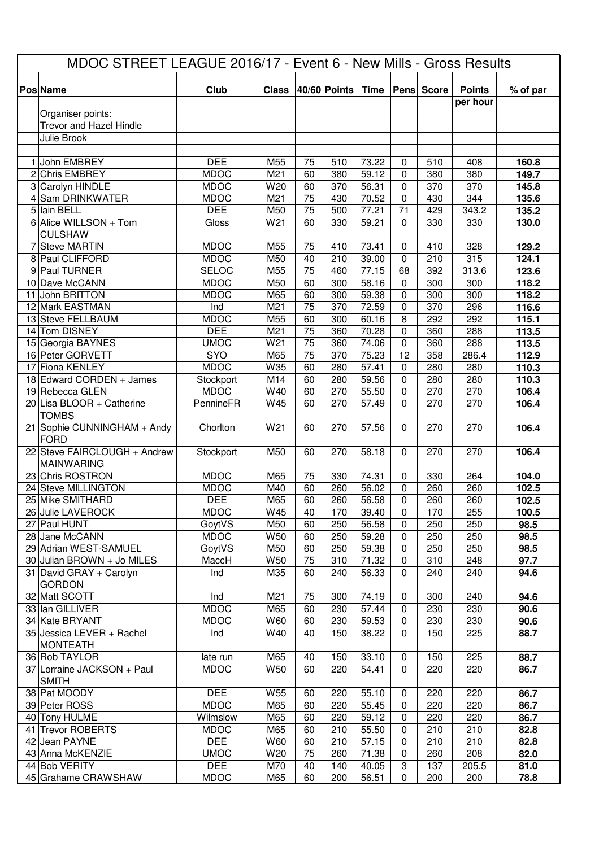| MDOC STREET LEAGUE 2016/17 - Event 6 - New Mills - Gross Results |                                                   |                           |                 |                 |              |                |                            |              |                           |                |
|------------------------------------------------------------------|---------------------------------------------------|---------------------------|-----------------|-----------------|--------------|----------------|----------------------------|--------------|---------------------------|----------------|
|                                                                  | <b>Pos Name</b>                                   | Club                      | <b>Class</b>    |                 | 40/60 Points | <b>Time</b>    | Pens                       | <b>Score</b> | <b>Points</b><br>per hour | % of par       |
|                                                                  | Organiser points:                                 |                           |                 |                 |              |                |                            |              |                           |                |
|                                                                  | <b>Trevor and Hazel Hindle</b>                    |                           |                 |                 |              |                |                            |              |                           |                |
|                                                                  | Julie Brook                                       |                           |                 |                 |              |                |                            |              |                           |                |
|                                                                  |                                                   |                           |                 |                 |              |                |                            |              |                           |                |
|                                                                  | 1 John EMBREY<br>2 Chris EMBREY                   | <b>DEE</b><br><b>MDOC</b> | M55<br>M21      | 75<br>60        | 510<br>380   | 73.22<br>59.12 | $\mathbf 0$                | 510          | 408<br>380                | 160.8          |
|                                                                  | 3 Carolyn HINDLE                                  | <b>MDOC</b>               | W20             | 60              | 370          | 56.31          | $\mathbf 0$<br>$\mathbf 0$ | 380<br>370   | 370                       | 149.7<br>145.8 |
|                                                                  | 4 Sam DRINKWATER                                  | <b>MDOC</b>               | M21             | $\overline{75}$ | 430          | 70.52          | $\mathbf 0$                | 430          | 344                       | 135.6          |
|                                                                  | 5 lain BELL                                       | <b>DEE</b>                | M50             | $\overline{75}$ | 500          | 77.21          | $\overline{71}$            | 429          | 343.2                     | 135.2          |
|                                                                  | 6 Alice WILLSON + Tom                             | <b>Gloss</b>              | W21             | 60              | 330          | 59.21          | $\mathbf 0$                | 330          | 330                       | 130.0          |
|                                                                  | <b>CULSHAW</b>                                    |                           |                 |                 |              |                |                            |              |                           |                |
|                                                                  | 7 Steve MARTIN                                    | <b>MDOC</b>               | M55             | 75              | 410          | 73.41          | $\mathbf 0$                | 410          | 328                       | 129.2          |
|                                                                  | 8 Paul CLIFFORD                                   | <b>MDOC</b>               | M50             | 40              | 210          | 39.00          | $\mathbf 0$                | 210          | 315                       | 124.1          |
|                                                                  | 9 Paul TURNER                                     | <b>SELOC</b>              | M55             | $\overline{75}$ | 460          | 77.15          | 68                         | 392          | 313.6                     | 123.6          |
|                                                                  | 10 Dave McCANN                                    | <b>MDOC</b>               | M50             | 60              | 300          | 58.16          | $\mathbf 0$                | 300          | 300                       | 118.2          |
|                                                                  | 11 John BRITTON                                   | <b>MDOC</b>               | M65             | 60              | 300          | 59.38          | $\mathbf 0$                | 300          | 300                       | 118.2          |
|                                                                  | 12 Mark EASTMAN                                   | Ind                       | M21             | $\overline{75}$ | 370          | 72.59          | $\mathbf 0$                | 370          | 296                       | 116.6          |
|                                                                  | 13 Steve FELLBAUM                                 | <b>MDOC</b>               | M55             | 60              | 300          | 60.16          | 8                          | 292          | 292                       | 115.1          |
|                                                                  | 14 Tom DISNEY                                     | <b>DEE</b>                | M21             | $\overline{75}$ | 360          | 70.28          | $\mathbf 0$                | 360          | 288                       | 113.5          |
|                                                                  | 15 Georgia BAYNES                                 | <b>UMOC</b>               | W <sub>21</sub> | $\overline{75}$ | 360          | 74.06          | $\mathbf 0$                | 360          | 288                       | 113.5          |
|                                                                  | 16 Peter GORVETT                                  | <b>SYO</b>                | M65             | $\overline{75}$ | 370          | 75.23          | $\overline{12}$            | 358          | 286.4                     | 112.9          |
|                                                                  | 17 Fiona KENLEY                                   | <b>MDOC</b>               | W35             | 60              | 280          | 57.41          | $\mathbf 0$                | 280          | 280                       | 110.3          |
|                                                                  | 18 Edward CORDEN + James                          | Stockport                 | M14             | 60              | 280          | 59.56          | $\mathbf 0$                | 280          | 280                       | 110.3          |
|                                                                  | 19 Rebecca GLEN                                   | <b>MDOC</b>               | W40             | 60              | 270          | 55.50          | $\mathbf 0$                | 270          | 270                       | 106.4          |
|                                                                  | $20$ Lisa BLOOR + Catherine<br><b>TOMBS</b>       | PennineFR                 | W45             | 60              | 270          | 57.49          | $\mathbf 0$                | 270          | 270                       | 106.4          |
|                                                                  | 21 Sophie CUNNINGHAM + Andy<br><b>FORD</b>        | Chorlton                  | W21             | 60              | 270          | 57.56          | $\mathbf 0$                | 270          | 270                       | 106.4          |
|                                                                  | 22 Steve FAIRCLOUGH + Andrew<br><b>MAINWARING</b> | Stockport                 | M50             | 60              | 270          | 58.18          | $\mathbf 0$                | 270          | 270                       | 106.4          |
|                                                                  | 23 Chris ROSTRON                                  | <b>MDOC</b>               | M65             | 75              | 330          | 74.31          | $\mathbf 0$                | 330          | 264                       | 104.0          |
|                                                                  | 24 Steve MILLINGTON                               | <b>MDOC</b>               | M40             | 60              | 260          | 56.02          | $\mathbf 0$                | 260          | 260                       | 102.5          |
|                                                                  | 25 Mike SMITHARD                                  | <b>DEE</b>                | M65             | 60              | 260          | 56.58          | $\mathbf{0}$               | 260          | 260                       | 102.5          |
|                                                                  | 26 Julie LAVEROCK                                 | <b>MDOC</b>               | W45             | 40              | 170          | 39.40          | $\mathbf 0$                | 170          | 255                       | 100.5          |
|                                                                  | 27 Paul HUNT                                      | GoytVS                    | M50             | 60              | 250          | 56.58          | $\mathbf 0$                | 250          | 250                       | 98.5           |
|                                                                  | 28 Jane McCANN                                    | <b>MDOC</b>               | W50             | 60              | 250          | 59.28          | $\mathbf 0$                | 250          | 250                       | 98.5           |
|                                                                  | 29 Adrian WEST-SAMUEL                             | GoytVS                    | M50             | 60              | 250          | 59.38          | $\mathbf 0$                | 250          | 250                       | 98.5           |
|                                                                  | 30 Julian BROWN + Jo MILES                        | MaccH                     | W50             | 75              | 310          | 71.32          | $\mathbf 0$                | 310          | 248                       | 97.7           |
|                                                                  | 31 David GRAY + Carolyn                           | Ind                       | M35             | 60              | 240          | 56.33          | $\mathbf 0$                | 240          | 240                       | 94.6           |
|                                                                  | <b>GORDON</b>                                     |                           |                 |                 |              |                |                            |              |                           |                |
|                                                                  | 32 Matt SCOTT                                     | Ind<br><b>MDOC</b>        | M21<br>M65      | 75<br>60        | 300<br>230   | 74.19<br>57.44 | $\mathbf 0$<br>$\mathbf 0$ | 300<br>230   | 240<br>230                | 94.6<br>90.6   |
|                                                                  | 33 Ian GILLIVER<br>34 Kate BRYANT                 | <b>MDOC</b>               | W60             | 60              | 230          | 59.53          | $\mathbf 0$                | 230          | 230                       | 90.6           |
|                                                                  | 35 Jessica LEVER + Rachel                         | Ind                       | W40             | 40              | 150          | 38.22          | $\mathbf 0$                | 150          | 225                       | 88.7           |
|                                                                  | <b>MONTEATH</b>                                   |                           |                 |                 |              |                |                            |              |                           |                |
|                                                                  | 36 Rob TAYLOR                                     | late run                  | M65             | 40              | 150          | 33.10          | $\mathbf 0$                | 150          | 225                       | 88.7           |
|                                                                  | 37 Lorraine JACKSON + Paul                        | <b>MDOC</b>               | W <sub>50</sub> | 60              | 220          | 54.41          | $\mathbf 0$                | 220          | 220                       | 86.7           |
|                                                                  | <b>SMITH</b>                                      |                           |                 |                 |              |                |                            |              |                           |                |
|                                                                  | 38 Pat MOODY                                      | <b>DEE</b>                | W55             | 60              | 220          | 55.10          | $\mathbf 0$                | 220          | 220                       | 86.7           |
|                                                                  | 39 Peter ROSS                                     | <b>MDOC</b>               | M65             | 60              | 220          | 55.45          | $\mathbf 0$                | 220          | 220                       | 86.7           |
|                                                                  | 40 Tony HULME                                     | Wilmslow                  | M65             | 60              | 220          | 59.12          | $\mathbf 0$                | 220          | 220                       | 86.7           |
|                                                                  | 41 Trevor ROBERTS<br>42 Jean PAYNE                | <b>MDOC</b><br><b>DEE</b> | M65<br>W60      | 60<br>60        | 210          | 55.50<br>57.15 | $\mathbf 0$<br>$\mathbf 0$ | 210          | 210<br>210                | 82.8<br>82.8   |
|                                                                  | 43 Anna McKENZIE                                  | <b>UMOC</b>               | W20             | 75              | 210<br>260   | 71.38          | $\mathbf 0$                | 210<br>260   | 208                       | 82.0           |
|                                                                  | 44 Bob VERITY                                     | <b>DEE</b>                | M70             | 40              | 140          | 40.05          | 3                          | 137          | 205.5                     | 81.0           |
|                                                                  | 45 Grahame CRAWSHAW                               | <b>MDOC</b>               | M65             | 60              | 200          | 56.51          | 0                          | 200          | 200                       | 78.8           |
|                                                                  |                                                   |                           |                 |                 |              |                |                            |              |                           |                |